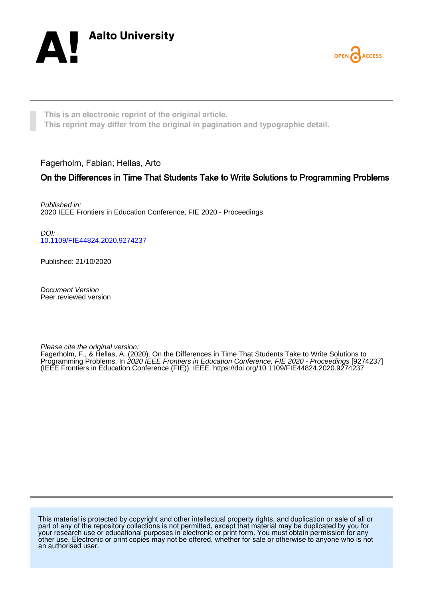



**This is an electronic reprint of the original article. This reprint may differ from the original in pagination and typographic detail.**

Fagerholm, Fabian; Hellas, Arto

# On the Differences in Time That Students Take to Write Solutions to Programming Problems

Published in: 2020 IEEE Frontiers in Education Conference, FIE 2020 - Proceedings

DOI: [10.1109/FIE44824.2020.9274237](https://doi.org/10.1109/FIE44824.2020.9274237)

Published: 21/10/2020

Document Version Peer reviewed version

Please cite the original version:

Fagerholm, F., & Hellas, A. (2020). On the Differences in Time That Students Take to Write Solutions to Programming Problems. In 2020 IEEE Frontiers in Education Conference, FIE 2020 - Proceedings [9274237] (IEEE Frontiers in Education Conference (FIE)). IEEE. <https://doi.org/10.1109/FIE44824.2020.9274237>

This material is protected by copyright and other intellectual property rights, and duplication or sale of all or part of any of the repository collections is not permitted, except that material may be duplicated by you for your research use or educational purposes in electronic or print form. You must obtain permission for any other use. Electronic or print copies may not be offered, whether for sale or otherwise to anyone who is not an authorised user.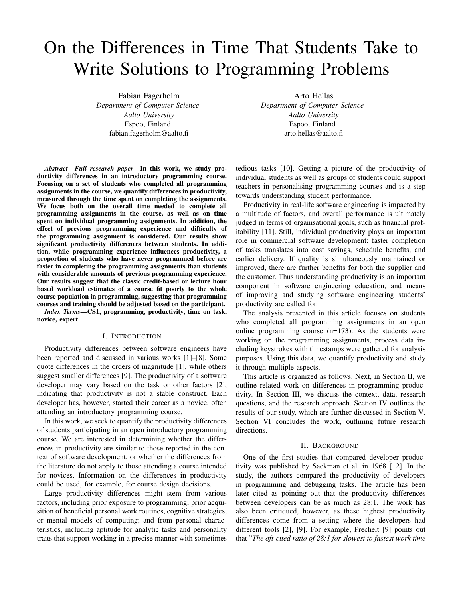# On the Differences in Time That Students Take to Write Solutions to Programming Problems

Fabian Fagerholm *Department of Computer Science Aalto University* Espoo, Finland fabian.fagerholm@aalto.fi

Arto Hellas *Department of Computer Science Aalto University* Espoo, Finland arto.hellas@aalto.fi

*Abstract*—*Full research paper*—In this work, we study productivity differences in an introductory programming course. Focusing on a set of students who completed all programming assignments in the course, we quantify differences in productivity, measured through the time spent on completing the assignments. We focus both on the overall time needed to complete all programming assignments in the course, as well as on time spent on individual programming assignments. In addition, the effect of previous programming experience and difficulty of the programming assignment is considered. Our results show significant productivity differences between students. In addition, while programming experience influences productivity, a proportion of students who have never programmed before are faster in completing the programming assignments than students with considerable amounts of previous programming experience. Our results suggest that the classic credit-based or lecture hour based workload estimates of a course fit poorly to the whole course population in programming, suggesting that programming courses and training should be adjusted based on the participant. *Index Terms*—CS1, programming, productivity, time on task,

novice, expert

#### I. INTRODUCTION

Productivity differences between software engineers have been reported and discussed in various works [1]–[8]. Some quote differences in the orders of magnitude [1], while others suggest smaller differences [9]. The productivity of a software developer may vary based on the task or other factors [2], indicating that productivity is not a stable construct. Each developer has, however, started their career as a novice, often attending an introductory programming course.

In this work, we seek to quantify the productivity differences of students participating in an open introductory programming course. We are interested in determining whether the differences in productivity are similar to those reported in the context of software development, or whether the differences from the literature do not apply to those attending a course intended for novices. Information on the differences in productivity could be used, for example, for course design decisions.

Large productivity differences might stem from various factors, including prior exposure to programming; prior acquisition of beneficial personal work routines, cognitive strategies, or mental models of computing; and from personal characteristics, including aptitude for analytic tasks and personality traits that support working in a precise manner with sometimes tedious tasks [10]. Getting a picture of the productivity of individual students as well as groups of students could support teachers in personalising programming courses and is a step towards understanding student performance.

Productivity in real-life software engineering is impacted by a multitude of factors, and overall performance is ultimately judged in terms of organisational goals, such as financial profitability [11]. Still, individual productivity plays an important role in commercial software development: faster completion of tasks translates into cost savings, schedule benefits, and earlier delivery. If quality is simultaneously maintained or improved, there are further benefits for both the supplier and the customer. Thus understanding productivity is an important component in software engineering education, and means of improving and studying software engineering students' productivity are called for.

The analysis presented in this article focuses on students who completed all programming assignments in an open online programming course (n=173). As the students were working on the programming assignments, process data including keystrokes with timestamps were gathered for analysis purposes. Using this data, we quantify productivity and study it through multiple aspects.

This article is organized as follows. Next, in Section II, we outline related work on differences in programming productivity. In Section III, we discuss the context, data, research questions, and the research approach. Section IV outlines the results of our study, which are further discussed in Section V. Section VI concludes the work, outlining future research directions.

#### II. BACKGROUND

One of the first studies that compared developer productivity was published by Sackman et al. in 1968 [12]. In the study, the authors compared the productivity of developers in programming and debugging tasks. The article has been later cited as pointing out that the productivity differences between developers can be as much as 28:1. The work has also been critiqued, however, as these highest productivity differences come from a setting where the developers had different tools [2], [9]. For example, Prechelt [9] points out that "*The oft-cited ratio of 28:1 for slowest to fastest work time*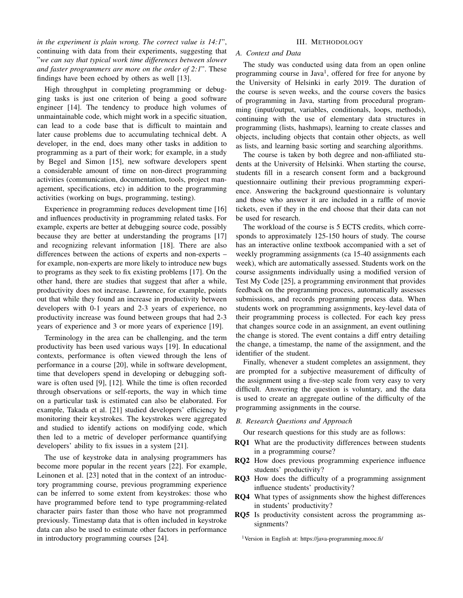*in the experiment is plain wrong. The correct value is 14:1*", continuing with data from their experiments, suggesting that "*we can say that typical work time differences between slower and faster programmers are more on the order of 2:1*". These findings have been echoed by others as well [13].

High throughput in completing programming or debugging tasks is just one criterion of being a good software engineer [14]. The tendency to produce high volumes of unmaintainable code, which might work in a specific situation, can lead to a code base that is difficult to maintain and later cause problems due to accumulating technical debt. A developer, in the end, does many other tasks in addition to programming as a part of their work; for example, in a study by Begel and Simon [15], new software developers spent a considerable amount of time on non-direct programming activities (communication, documentation, tools, project management, specifications, etc) in addition to the programming activities (working on bugs, programming, testing).

Experience in programming reduces development time [16] and influences productivity in programming related tasks. For example, experts are better at debugging source code, possibly because they are better at understanding the programs [17] and recognizing relevant information [18]. There are also differences between the actions of experts and non-experts – for example, non-experts are more likely to introduce new bugs to programs as they seek to fix existing problems [17]. On the other hand, there are studies that suggest that after a while, productivity does not increase. Lawrence, for example, points out that while they found an increase in productivity between developers with 0-1 years and 2-3 years of experience, no productivity increase was found between groups that had 2-3 years of experience and 3 or more years of experience [19].

Terminology in the area can be challenging, and the term productivity has been used various ways [19]. In educational contexts, performance is often viewed through the lens of performance in a course [20], while in software development, time that developers spend in developing or debugging software is often used [9], [12]. While the time is often recorded through observations or self-reports, the way in which time on a particular task is estimated can also be elaborated. For example, Takada et al. [21] studied developers' efficiency by monitoring their keystrokes. The keystrokes were aggregated and studied to identify actions on modifying code, which then led to a metric of developer performance quantifying developers' ability to fix issues in a system [21].

The use of keystroke data in analysing programmers has become more popular in the recent years [22]. For example, Leinonen et al. [23] noted that in the context of an introductory programming course, previous programming experience can be inferred to some extent from keystrokes: those who have programmed before tend to type programming-related character pairs faster than those who have not programmed previously. Timestamp data that is often included in keystroke data can also be used to estimate other factors in performance in introductory programming courses [24].

### III. METHODOLOGY

# *A. Context and Data*

The study was conducted using data from an open online programming course in Java<sup>1</sup>, offered for free for anyone by the University of Helsinki in early 2019. The duration of the course is seven weeks, and the course covers the basics of programming in Java, starting from procedural programming (input/output, variables, conditionals, loops, methods), continuing with the use of elementary data structures in programming (lists, hashmaps), learning to create classes and objects, including objects that contain other objects, as well as lists, and learning basic sorting and searching algorithms.

The course is taken by both degree and non-affiliated students at the University of Helsinki. When starting the course, students fill in a research consent form and a background questionnaire outlining their previous programming experience. Answering the background questionnaire is voluntary and those who answer it are included in a raffle of movie tickets, even if they in the end choose that their data can not be used for research.

The workload of the course is 5 ECTS credits, which corresponds to approximately 125-150 hours of study. The course has an interactive online textbook accompanied with a set of weekly programming assignments (ca 15-40 assignments each week), which are automatically assessed. Students work on the course assignments individually using a modified version of Test My Code [25], a programming environment that provides feedback on the programming process, automatically assesses submissions, and records programming process data. When students work on programming assignments, key-level data of their programming process is collected. For each key press that changes source code in an assignment, an event outlining the change is stored. The event contains a diff entry detailing the change, a timestamp, the name of the assignment, and the identifier of the student.

Finally, whenever a student completes an assignment, they are prompted for a subjective measurement of difficulty of the assignment using a five-step scale from very easy to very difficult. Answering the question is voluntary, and the data is used to create an aggregate outline of the difficulty of the programming assignments in the course.

# *B. Research Questions and Approach*

Our research questions for this study are as follows:

- RQ1 What are the productivity differences between students in a programming course?
- RQ2 How does previous programming experience influence students' productivity?
- RQ3 How does the difficulty of a programming assignment influence students' productivity?
- RQ4 What types of assignments show the highest differences in students' productivity?
- RQ5 Is productivity consistent across the programming assignments?

<sup>1</sup>Version in English at: https://java-programming.mooc.fi/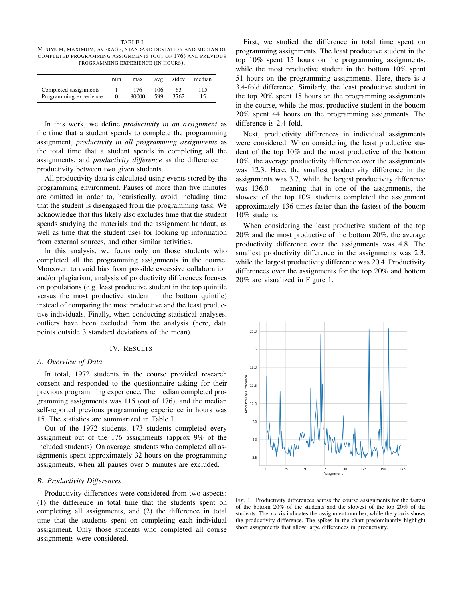TABLE I MINIMUM, MAXIMUM, AVERAGE, STANDARD DEVIATION AND MEDIAN OF COMPLETED PROGRAMMING ASSIGNMENTS (OUT OF 176) AND PREVIOUS PROGRAMMING EXPERIENCE (IN HOURS).

|                                                 | min | max          | avg        | stdev      | median |
|-------------------------------------------------|-----|--------------|------------|------------|--------|
| Completed assignments<br>Programming experience |     | 176<br>80000 | 106<br>599 | 63<br>3762 | 115    |

In this work, we define *productivity in an assignment* as the time that a student spends to complete the programming assignment, *productivity in all programming assignments* as the total time that a student spends in completing all the assignments, and *productivity difference* as the difference in productivity between two given students.

All productivity data is calculated using events stored by the programming environment. Pauses of more than five minutes are omitted in order to, heuristically, avoid including time that the student is disengaged from the programming task. We acknowledge that this likely also excludes time that the student spends studying the materials and the assignment handout, as well as time that the student uses for looking up information from external sources, and other similar activities.

In this analysis, we focus only on those students who completed all the programming assignments in the course. Moreover, to avoid bias from possible excessive collaboration and/or plagiarism, analysis of productivity differences focuses on populations (e.g. least productive student in the top quintile versus the most productive student in the bottom quintile) instead of comparing the most productive and the least productive individuals. Finally, when conducting statistical analyses, outliers have been excluded from the analysis (here, data points outside 3 standard deviations of the mean).

#### IV. RESULTS

### *A. Overview of Data*

In total, 1972 students in the course provided research consent and responded to the questionnaire asking for their previous programming experience. The median completed programming assignments was 115 (out of 176), and the median self-reported previous programming experience in hours was 15. The statistics are summarized in Table I.

Out of the 1972 students, 173 students completed every assignment out of the 176 assignments (approx 9% of the included students). On average, students who completed all assignments spent approximately 32 hours on the programming assignments, when all pauses over 5 minutes are excluded.

## *B. Productivity Differences*

Productivity differences were considered from two aspects: (1) the difference in total time that the students spent on completing all assignments, and (2) the difference in total time that the students spent on completing each individual assignment. Only those students who completed all course assignments were considered.

First, we studied the difference in total time spent on programming assignments. The least productive student in the top 10% spent 15 hours on the programming assignments, while the most productive student in the bottom 10% spent 51 hours on the programming assignments. Here, there is a 3.4-fold difference. Similarly, the least productive student in the top 20% spent 18 hours on the programming assignments in the course, while the most productive student in the bottom 20% spent 44 hours on the programming assignments. The difference is 2.4-fold.

Next, productivity differences in individual assignments were considered. When considering the least productive student of the top 10% and the most productive of the bottom 10%, the average productivity difference over the assignments was 12.3. Here, the smallest productivity difference in the assignments was 3.7, while the largest productivity difference was 136.0 – meaning that in one of the assignments, the slowest of the top 10% students completed the assignment approximately 136 times faster than the fastest of the bottom 10% students.

When considering the least productive student of the top 20% and the most productive of the bottom 20%, the average productivity difference over the assignments was 4.8. The smallest productivity difference in the assignments was 2.3, while the largest productivity difference was 20.4. Productivity differences over the assignments for the top 20% and bottom 20% are visualized in Figure 1.



Fig. 1. Productivity differences across the course assignments for the fastest of the bottom 20% of the students and the slowest of the top 20% of the students. The x-axis indicates the assignment number, while the y-axis shows the productivity difference. The spikes in the chart predominantly highlight short assignments that allow large differences in productivity.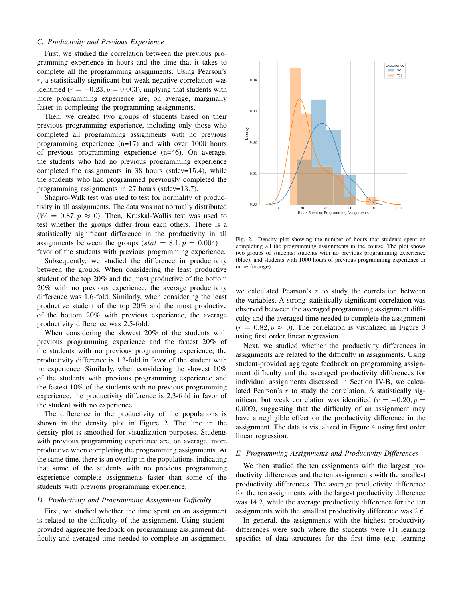### *C. Productivity and Previous Experience*

First, we studied the correlation between the previous programming experience in hours and the time that it takes to complete all the programming assignments. Using Pearson's  $r$ , a statistically significant but weak negative correlation was identified ( $r = -0.23$ ,  $p = 0.003$ ), implying that students with more programming experience are, on average, marginally faster in completing the programming assignments.

Then, we created two groups of students based on their previous programming experience, including only those who completed all programming assignments with no previous programming experience (n=17) and with over 1000 hours of previous programming experience (n=46). On average, the students who had no previous programming experience completed the assignments in 38 hours (stdev=15.4), while the students who had programmed previously completed the programming assignments in 27 hours (stdev=13.7).

Shapiro-Wilk test was used to test for normality of productivity in all assignments. The data was not normally distributed  $(W = 0.87, p \approx 0)$ . Then, Kruskal-Wallis test was used to test whether the groups differ from each others. There is a statistically significant difference in the productivity in all assignments between the groups (stat = 8.1,  $p = 0.004$ ) in favor of the students with previous programming experience.

Subsequently, we studied the difference in productivity between the groups. When considering the least productive student of the top 20% and the most productive of the bottom 20% with no previous experience, the average productivity difference was 1.6-fold. Similarly, when considering the least productive student of the top 20% and the most productive of the bottom 20% with previous experience, the average productivity difference was 2.5-fold.

When considering the slowest 20% of the students with previous programming experience and the fastest 20% of the students with no previous programming experience, the productivity difference is 1.3-fold in favor of the student with no experience. Similarly, when considering the slowest 10% of the students with previous programming experience and the fastest 10% of the students with no previous programming experience, the productivity difference is 2.3-fold in favor of the student with no experience.

The difference in the productivity of the populations is shown in the density plot in Figure 2. The line in the density plot is smoothed for visualization purposes. Students with previous programming experience are, on average, more productive when completing the programming assignments. At the same time, there is an overlap in the populations, indicating that some of the students with no previous programming experience complete assignments faster than some of the students with previous programming experience.

#### *D. Productivity and Programming Assignment Difficulty*

First, we studied whether the time spent on an assignment is related to the difficulty of the assignment. Using studentprovided aggregate feedback on programming assignment difficulty and averaged time needed to complete an assignment,



Fig. 2. Density plot showing the number of hours that students spent on completing all the programming assignments in the course. The plot shows two groups of students: students with no previous programming experience (blue), and students with 1000 hours of previous programming experience or more (orange).

we calculated Pearson's  $r$  to study the correlation between the variables. A strong statistically significant correlation was observed between the averaged programming assignment difficulty and the averaged time needed to complete the assignment  $(r = 0.82, p \approx 0)$ . The correlation is visualized in Figure 3 using first order linear regression.

Next, we studied whether the productivity differences in assignments are related to the difficulty in assignments. Using student-provided aggregate feedback on programming assignment difficulty and the averaged productivity differences for individual assignments discussed in Section IV-B, we calculated Pearson's  $r$  to study the correlation. A statistically significant but weak correlation was identified ( $r = -0.20, p =$ 0.009), suggesting that the difficulty of an assignment may have a negligible effect on the productivity difference in the assignment. The data is visualized in Figure 4 using first order linear regression.

### *E. Programming Assignments and Productivity Differences*

We then studied the ten assignments with the largest productivity differences and the ten assignments with the smallest productivity differences. The average productivity difference for the ten assignments with the largest productivity difference was 14.2, while the average productivity difference for the ten assignments with the smallest productivity difference was 2.6.

In general, the assignments with the highest productivity differences were such where the students were (1) learning specifics of data structures for the first time (e.g. learning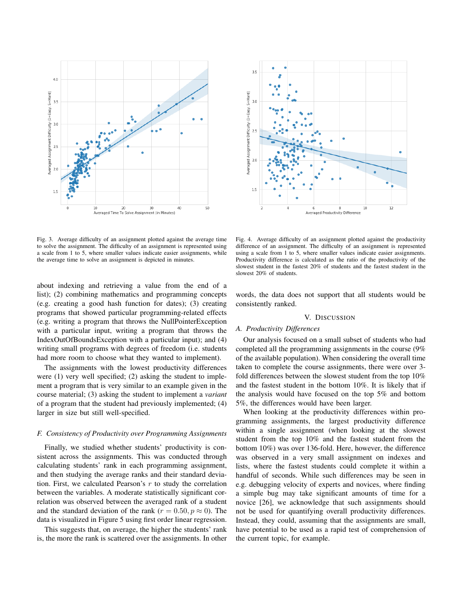

Fig. 3. Average difficulty of an assignment plotted against the average time to solve the assignment. The difficulty of an assignment is represented using a scale from 1 to 5, where smaller values indicate easier assignments, while the average time to solve an assignment is depicted in minutes.

about indexing and retrieving a value from the end of a list); (2) combining mathematics and programming concepts (e.g. creating a good hash function for dates); (3) creating programs that showed particular programming-related effects (e.g. writing a program that throws the NullPointerException with a particular input, writing a program that throws the IndexOutOfBoundsException with a particular input); and (4) writing small programs with degrees of freedom (i.e. students had more room to choose what they wanted to implement).

The assignments with the lowest productivity differences were (1) very well specified; (2) asking the student to implement a program that is very similar to an example given in the course material; (3) asking the student to implement a *variant* of a program that the student had previously implemented; (4) larger in size but still well-specified.

#### *F. Consistency of Productivity over Programming Assignments*

Finally, we studied whether students' productivity is consistent across the assignments. This was conducted through calculating students' rank in each programming assignment, and then studying the average ranks and their standard deviation. First, we calculated Pearson's  $r$  to study the correlation between the variables. A moderate statistically significant correlation was observed between the averaged rank of a student and the standard deviation of the rank ( $r = 0.50, p \approx 0$ ). The data is visualized in Figure 5 using first order linear regression.

This suggests that, on average, the higher the students' rank is, the more the rank is scattered over the assignments. In other



Fig. 4. Average difficulty of an assignment plotted against the productivity difference of an assignment. The difficulty of an assignment is represented using a scale from 1 to 5, where smaller values indicate easier assignments. Productivity difference is calculated as the ratio of the productivity of the slowest student in the fastest 20% of students and the fastest student in the slowest 20% of students.

words, the data does not support that all students would be consistently ranked.

#### V. DISCUSSION

# *A. Productivity Differences*

Our analysis focused on a small subset of students who had completed all the programming assignments in the course (9% of the available population). When considering the overall time taken to complete the course assignments, there were over 3 fold differences between the slowest student from the top 10% and the fastest student in the bottom 10%. It is likely that if the analysis would have focused on the top 5% and bottom 5%, the differences would have been larger.

When looking at the productivity differences within programming assignments, the largest productivity difference within a single assignment (when looking at the slowest student from the top 10% and the fastest student from the bottom 10%) was over 136-fold. Here, however, the difference was observed in a very small assignment on indexes and lists, where the fastest students could complete it within a handful of seconds. While such differences may be seen in e.g. debugging velocity of experts and novices, where finding a simple bug may take significant amounts of time for a novice [26], we acknowledge that such assignments should not be used for quantifying overall productivity differences. Instead, they could, assuming that the assignments are small, have potential to be used as a rapid test of comprehension of the current topic, for example.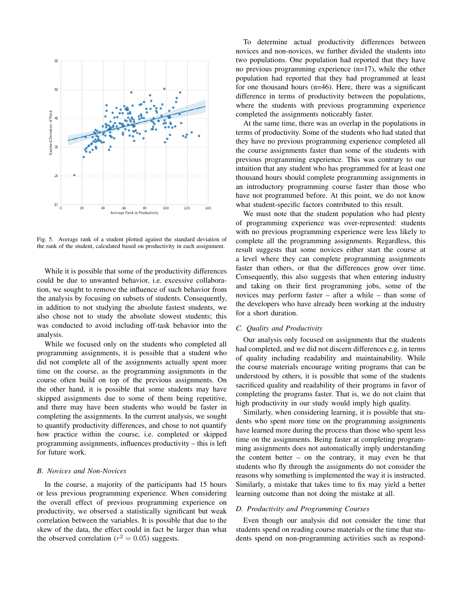

Fig. 5. Average rank of a student plotted against the standard deviation of the rank of the student, calculated based on productivity in each assignment.

While it is possible that some of the productivity differences could be due to unwanted behavior, i.e. excessive collaboration, we sought to remove the influence of such behavior from the analysis by focusing on subsets of students. Consequently, in addition to not studying the absolute fastest students, we also chose not to study the absolute slowest students; this was conducted to avoid including off-task behavior into the analysis.

While we focused only on the students who completed all programming assignments, it is possible that a student who did not complete all of the assignments actually spent more time on the course, as the programming assignments in the course often build on top of the previous assignments. On the other hand, it is possible that some students may have skipped assignments due to some of them being repetitive, and there may have been students who would be faster in completing the assignments. In the current analysis, we sought to quantify productivity differences, and chose to not quantify how practice within the course, i.e. completed or skipped programming assignments, influences productivity – this is left for future work.

#### *B. Novices and Non-Novices*

In the course, a majority of the participants had 15 hours or less previous programming experience. When considering the overall effect of previous programming experience on productivity, we observed a statistically significant but weak correlation between the variables. It is possible that due to the skew of the data, the effect could in fact be larger than what the observed correlation ( $r^2 = 0.05$ ) suggests.

To determine actual productivity differences between novices and non-novices, we further divided the students into two populations. One population had reported that they have no previous programming experience (n=17), while the other population had reported that they had programmed at least for one thousand hours (n=46). Here, there was a significant difference in terms of productivity between the populations, where the students with previous programming experience completed the assignments noticeably faster.

At the same time, there was an overlap in the populations in terms of productivity. Some of the students who had stated that they have no previous programming experience completed all the course assignments faster than some of the students with previous programming experience. This was contrary to our intuition that any student who has programmed for at least one thousand hours should complete programming assignments in an introductory programming course faster than those who have not programmed before. At this point, we do not know what student-specific factors contributed to this result.

We must note that the student population who had plenty of programming experience was over-represented: students with no previous programming experience were less likely to complete all the programming assignments. Regardless, this result suggests that some novices either start the course at a level where they can complete programming assignments faster than others, or that the differences grow over time. Consequently, this also suggests that when entering industry and taking on their first programming jobs, some of the novices may perform faster – after a while – than some of the developers who have already been working at the industry for a short duration.

# *C. Quality and Productivity*

Our analysis only focused on assignments that the students had completed, and we did not discern differences e.g. in terms of quality including readability and maintainability. While the course materials encourage writing programs that can be understood by others, it is possible that some of the students sacrificed quality and readability of their programs in favor of completing the programs faster. That is, we do not claim that high productivity in our study would imply high quality.

Similarly, when considering learning, it is possible that students who spent more time on the programming assignments have learned more during the process than those who spent less time on the assignments. Being faster at completing programming assignments does not automatically imply understanding the content better – on the contrary, it may even be that students who fly through the assignments do not consider the reasons why something is implemented the way it is instructed. Similarly, a mistake that takes time to fix may yield a better learning outcome than not doing the mistake at all.

#### *D. Productivity and Programming Courses*

Even though our analysis did not consider the time that students spend on reading course materials or the time that students spend on non-programming activities such as respond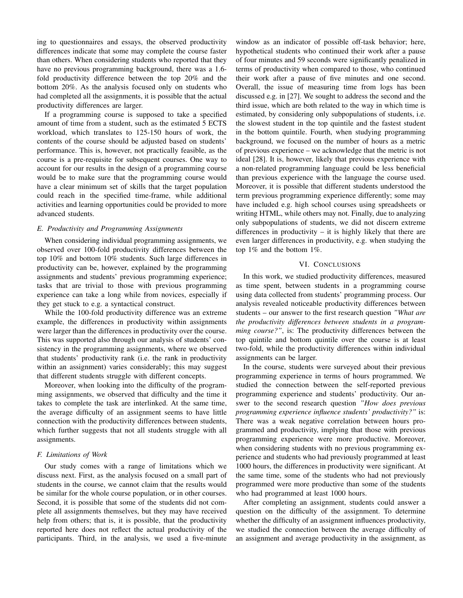ing to questionnaires and essays, the observed productivity differences indicate that some may complete the course faster than others. When considering students who reported that they have no previous programming background, there was a 1.6 fold productivity difference between the top 20% and the bottom 20%. As the analysis focused only on students who had completed all the assignments, it is possible that the actual productivity differences are larger.

If a programming course is supposed to take a specified amount of time from a student, such as the estimated 5 ECTS workload, which translates to 125-150 hours of work, the contents of the course should be adjusted based on students' performance. This is, however, not practically feasible, as the course is a pre-requisite for subsequent courses. One way to account for our results in the design of a programming course would be to make sure that the programming course would have a clear minimum set of skills that the target population could reach in the specified time-frame, while additional activities and learning opportunities could be provided to more advanced students.

# *E. Productivity and Programming Assignments*

When considering individual programming assignments, we observed over 100-fold productivity differences between the top 10% and bottom 10% students. Such large differences in productivity can be, however, explained by the programming assignments and students' previous programming experience; tasks that are trivial to those with previous programming experience can take a long while from novices, especially if they get stuck to e.g. a syntactical construct.

While the 100-fold productivity difference was an extreme example, the differences in productivity within assignments were larger than the differences in productivity over the course. This was supported also through our analysis of students' consistency in the programming assignments, where we observed that students' productivity rank (i.e. the rank in productivity within an assignment) varies considerably; this may suggest that different students struggle with different concepts.

Moreover, when looking into the difficulty of the programming assignments, we observed that difficulty and the time it takes to complete the task are interlinked. At the same time, the average difficulty of an assignment seems to have little connection with the productivity differences between students, which further suggests that not all students struggle with all assignments.

#### *F. Limitations of Work*

Our study comes with a range of limitations which we discuss next. First, as the analysis focused on a small part of students in the course, we cannot claim that the results would be similar for the whole course population, or in other courses. Second, it is possible that some of the students did not complete all assignments themselves, but they may have received help from others; that is, it is possible, that the productivity reported here does not reflect the actual productivity of the participants. Third, in the analysis, we used a five-minute

window as an indicator of possible off-task behavior; here, hypothetical students who continued their work after a pause of four minutes and 59 seconds were significantly penalized in terms of productivity when compared to those, who continued their work after a pause of five minutes and one second. Overall, the issue of measuring time from logs has been discussed e.g. in [27]. We sought to address the second and the third issue, which are both related to the way in which time is estimated, by considering only subpopulations of students, i.e. the slowest student in the top quintile and the fastest student in the bottom quintile. Fourth, when studying programming background, we focused on the number of hours as a metric of previous experience – we acknowledge that the metric is not ideal [28]. It is, however, likely that previous experience with a non-related programming language could be less beneficial than previous experience with the language the course used. Moreover, it is possible that different students understood the term previous programming experience differently; some may have included e.g. high school courses using spreadsheets or writing HTML, while others may not. Finally, due to analyzing only subpopulations of students, we did not discern extreme differences in productivity – it is highly likely that there are even larger differences in productivity, e.g. when studying the top 1% and the bottom 1%.

#### VI. CONCLUSIONS

In this work, we studied productivity differences, measured as time spent, between students in a programming course using data collected from students' programming process. Our analysis revealed noticeable productivity differences between students – our answer to the first research question *"What are the productivity differences between students in a programming course?"*, is: The productivity differences between the top quintile and bottom quintile over the course is at least two-fold, while the productivity differences within individual assignments can be larger.

In the course, students were surveyed about their previous programming experience in terms of hours programmed. We studied the connection between the self-reported previous programming experience and students' productivity. Our answer to the second research question *"How does previous programming experience influence students' productivity?"* is: There was a weak negative correlation between hours programmed and productivity, implying that those with previous programming experience were more productive. Moreover, when considering students with no previous programming experience and students who had previously programmed at least 1000 hours, the differences in productivity were significant. At the same time, some of the students who had not previously programmed were more productive than some of the students who had programmed at least 1000 hours.

After completing an assignment, students could answer a question on the difficulty of the assignment. To determine whether the difficulty of an assignment influences productivity, we studied the connection between the average difficulty of an assignment and average productivity in the assignment, as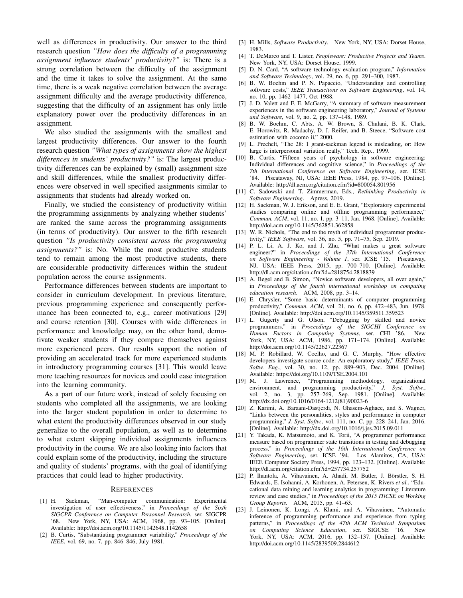well as differences in productivity. Our answer to the third research question *"How does the difficulty of a programming assignment influence students' productivity?"* is: There is a strong correlation between the difficulty of the assignment and the time it takes to solve the assignment. At the same time, there is a weak negative correlation between the average assignment difficulty and the average productivity difference, suggesting that the difficulty of an assignment has only little explanatory power over the productivity differences in an assignment.

We also studied the assignments with the smallest and largest productivity differences. Our answer to the fourth research question *"What types of assignments show the highest differences in students' productivity?"* is: The largest productivity differences can be explained by (small) assignment size and skill differences, while the smallest productivity differences were observed in well specified assignments similar to assignments that students had already worked on.

Finally, we studied the consistency of productivity within the programming assignments by analyzing whether students' are ranked the same across the programming assignments (in terms of productivity). Our answer to the fifth research question *"Is productivity consistent across the programming assignments?"* is: No. While the most productive students tend to remain among the most productive students, there are considerable productivity differences within the student population across the course assignments.

Performance differences between students are important to consider in curriculum development. In previous literature, previous programming experience and consequently performance has been connected to, e.g., career motivations [29] and course retention [30]. Courses with wide differences in performance and knowledge may, on the other hand, demotivate weaker students if they compare themselves against more experienced peers. Our results support the notion of providing an accelerated track for more experienced students in introductory programming courses [31]. This would leave more teaching resources for novices and could ease integration into the learning community.

As a part of our future work, instead of solely focusing on students who completed all the assignments, we are looking into the larger student population in order to determine to what extent the productivity differences observed in our study generalize to the overall population, as well as to determine to what extent skipping individual assignments influences productivity in the course. We are also looking into factors that could explain some of the productivity, including the structure and quality of students' programs, with the goal of identifying practices that could lead to higher productivity.

#### **REFERENCES**

- [1] H. Sackman, "Man-computer communication: Experimental investigation of user effectiveness," in *Proceedings of the Sixth SIGCPR Conference on Computer Personnel Research*, ser. SIGCPR '68. New York, NY, USA: ACM, 1968, pp. 93–105. [Online]. Available: http://doi.acm.org/10.1145/1142648.1142658
- [2] B. Curtis, "Substantiating programmer variability," *Proceedings of the IEEE*, vol. 69, no. 7, pp. 846–846, July 1981.
- [3] H. Mills, *Software Productivity*. New York, NY, USA: Dorset House, 1983.
- [4] T. DeMarco and T. Lister, *Peopleware: Productive Projects and Teams*. New York, NY, USA: Dorset House, 1999.
- [5] D. N. Card, "A software technology evaluation program," *Information and Software Technology*, vol. 29, no. 6, pp. 291–300, 1987.
- [6] B. W. Boehm and P. N. Papaccio, "Understanding and controlling software costs," *IEEE Transactions on Software Engineering*, vol. 14, no. 10, pp. 1462–1477, Oct 1988.
- [7] J. D. Valett and F. E. McGarry, "A summary of software measurement experiences in the software engineering laboratory," *Journal of Systems and Software*, vol. 9, no. 2, pp. 137–148, 1989.
- [8] B. W. Boehm, C. Abts, A. W. Brown, S. Chulani, B. K. Clark, E. Horowitz, R. Madachy, D. J. Reifer, and B. Steece, "Software cost estimation with cocomo ii," 2000.
- [9] L. Prechelt, "The 28: 1 grant-sackman legend is misleading, or: How large is interpersonal variation really," Tech. Rep., 1999.
- [10] B. Curtis, "Fifteen years of psychology in software engineering: Individual differences and cognitive science," in *Proceedings of the 7th International Conference on Software Engineering*, ser. ICSE '84. Piscataway, NJ, USA: IEEE Press, 1984, pp. 97–106. [Online]. Available: http://dl.acm.org/citation.cfm?id=800054.801956
- [11] C. Sadowski and T. Zimmerman, Eds., *Rethinking Productivity in Software Engineering*. Apress, 2019.
- [12] H. Sackman, W. J. Erikson, and E. E. Grant, "Exploratory experimental studies comparing online and offline programming performance," *Commun. ACM*, vol. 11, no. 1, pp. 3–11, Jan. 1968. [Online]. Available: http://doi.acm.org/10.1145/362851.362858
- [13] W. R. Nichols, "The end to the myth of individual programmer productivity," *IEEE Software*, vol. 36, no. 5, pp. 71–75, Sep. 2019.
- [14] P. L. Li, A. J. Ko, and J. Zhu, "What makes a great software engineer?" in *Proceedings of the 37th International Conference on Software Engineering - Volume 1*, ser. ICSE '15. Piscataway, NJ, USA: IEEE Press, 2015, pp. 700–710. [Online]. Available: http://dl.acm.org/citation.cfm?id=2818754.2818839
- [15] A. Begel and B. Simon, "Novice software developers, all over again," in *Proceedings of the fourth international workshop on computing education research*. ACM, 2008, pp. 3–14.
- [16] E. Chrysler, "Some basic determinants of computer programming productivity," *Commun. ACM*, vol. 21, no. 6, pp. 472–483, Jun. 1978. [Online]. Available: http://doi.acm.org/10.1145/359511.359523
- [17] L. Gugerty and G. Olson, "Debugging by skilled and novice programmers," in *Proceedings of the SIGCHI Conference on Human Factors in Computing Systems*, ser. CHI '86. New York, NY, USA: ACM, 1986, pp. 171–174. [Online]. Available: http://doi.acm.org/10.1145/22627.22367
- [18] M. P. Robillard, W. Coelho, and G. C. Murphy, "How effective developers investigate source code: An exploratory study," *IEEE Trans. Softw. Eng.*, vol. 30, no. 12, pp. 889–903, Dec. 2004. [Online]. Available: https://doi.org/10.1109/TSE.2004.101
- [19] M. J. Lawrence, "Programming methodology, organizational environment, and programming productivity," *J. Syst. Softw.*, vol. 2, no. 3, pp. 257–269, Sep. 1981. [Online]. Available: http://dx.doi.org/10.1016/0164-1212(81)90023-6
- [20] Z. Karimi, A. Baraani-Dastjerdi, N. Ghasem-Aghaee, and S. Wagner, "Links between the personalities, styles and performance in computer programming," *J. Syst. Softw.*, vol. 111, no. C, pp. 228–241, Jan. 2016. [Online]. Available: http://dx.doi.org/10.1016/j.jss.2015.09.011
- [21] Y. Takada, K. Matsumoto, and K. Torii, "A programmer performance measure based on programmer state transitions in testing and debugging process," in *Proceedings of the 16th International Conference on Software Engineering*, ser. ICSE '94. Los Alamitos, CA, USA: IEEE Computer Society Press, 1994, pp. 123–132. [Online]. Available: http://dl.acm.org/citation.cfm?id=257734.257752
- [22] P. Ihantola, A. Vihavainen, A. Ahadi, M. Butler, J. Börstler, S. H. Edwards, E. Isohanni, A. Korhonen, A. Petersen, K. Rivers *et al.*, "Educational data mining and learning analytics in programming: Literature review and case studies," in *Proceedings of the 2015 ITiCSE on Working Group Reports*. ACM, 2015, pp. 41–63.
- [23] J. Leinonen, K. Longi, A. Klami, and A. Vihavainen, "Automatic inference of programming performance and experience from typing patterns," in *Proceedings of the 47th ACM Technical Symposium on Computing Science Education*, ser. SIGCSE '16. New York, NY, USA: ACM, 2016, pp. 132–137. [Online]. Available: http://doi.acm.org/10.1145/2839509.2844612